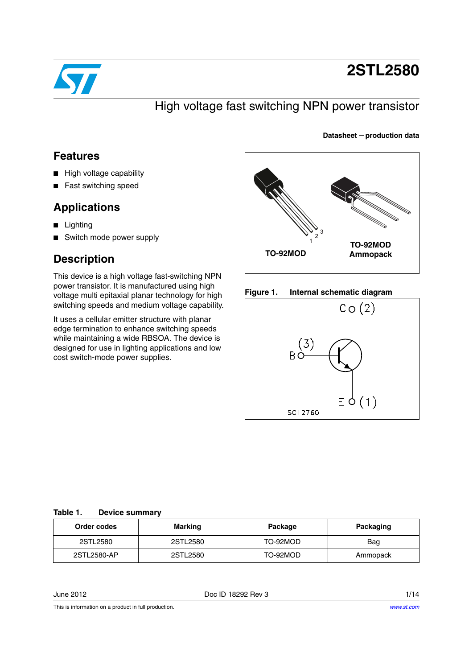

# **2STL2580**

**Datasheet** − **production data**

## High voltage fast switching NPN power transistor

### **Features**

- High voltage capability
- Fast switching speed

### **Applications**

- Lighting
- Switch mode power supply

## **Description**

This device is a high voltage fast-switching NPN power transistor. It is manufactured using high voltage multi epitaxial planar technology for high switching speeds and medium voltage capability.

It uses a cellular emitter structure with planar edge termination to enhance switching speeds while maintaining a wide RBSOA. The device is designed for use in lighting applications and low cost switch-mode power supplies.







### **Table 1. Device summary**

| Order codes | Marking  | Package  | Packaging |
|-------------|----------|----------|-----------|
| 2STL2580    | 2STL2580 | TO-92MOD | Bag       |
| 2STL2580-AP | 2STL2580 | TO-92MOD | Ammopack  |

June 2012 Doc ID 18292 Rev 3 1/14

This is information on a product in full production.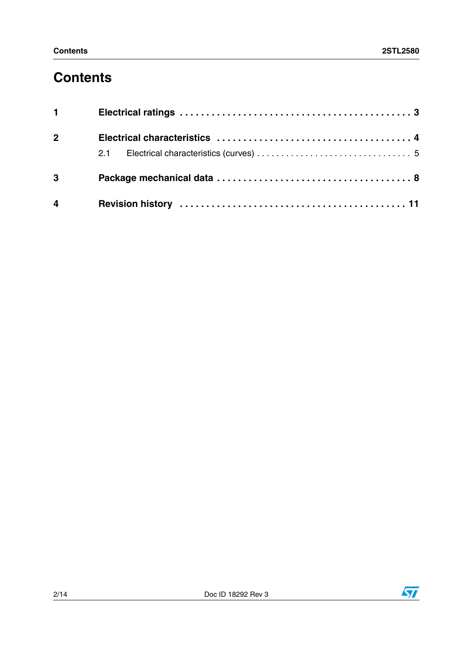## **Contents**

| $1 \quad \cdots$ |  |
|------------------|--|
| $2^{\sim}$       |  |
|                  |  |
| $3^{\circ}$      |  |
| $\overline{4}$   |  |

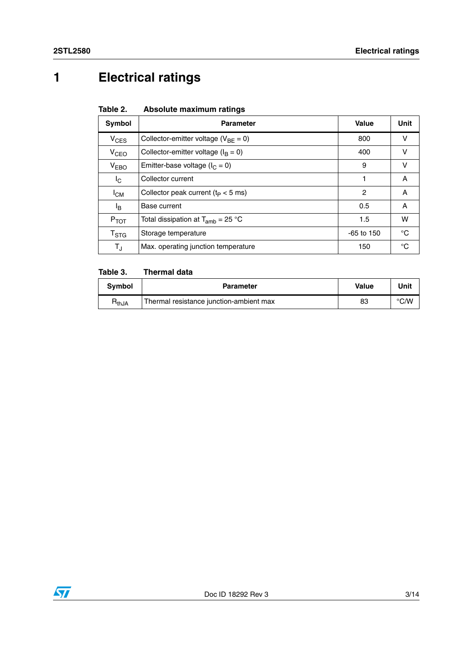# **1 Electrical ratings**

| Table 2. |  | Absolute maximum ratings |  |
|----------|--|--------------------------|--|
|          |  |                          |  |

| Symbol           | <b>Parameter</b>                           | Value        | Unit         |
|------------------|--------------------------------------------|--------------|--------------|
| $V_{CES}$        | Collector-emitter voltage ( $V_{BF} = 0$ ) | 800          | ν            |
| V <sub>CEO</sub> | Collector-emitter voltage ( $I_B = 0$ )    | 400          | v            |
| V <sub>EBO</sub> | Emitter-base voltage ( $I_C = 0$ )         | 9            | v            |
| $I_{\rm C}$      | Collector current                          | 1            | A            |
| $I_{CM}$         | Collector peak current ( $t_P < 5$ ms)     | 2            | A            |
| ΙB               | Base current                               | 0.5          | A            |
| $P_{TOT}$        | Total dissipation at $T_{amb}$ = 25 °C     | 1.5          | w            |
| $T_{\rm STG}$    | Storage temperature                        | $-65$ to 150 | °C           |
| $T_{\rm J}$      | Max. operating junction temperature        | 150          | $^{\circ}$ C |

#### Table 3. **Thermal data**

| <b>Symbol</b> | <b>Parameter</b>                        | <b>Value</b> | Unit          |
|---------------|-----------------------------------------|--------------|---------------|
| $R_{thJA}$    | Thermal resistance junction-ambient max | 83           | $\degree$ C/W |

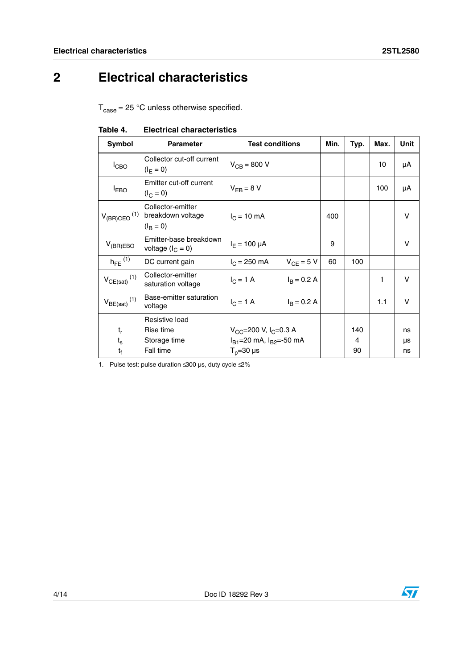# **2 Electrical characteristics**

 $T_{\text{case}} = 25 \text{ °C}$  unless otherwise specified.

| Symbol                       | <b>Parameter</b>                                            | <b>Test conditions</b>                 | Min. | Typ. | Max. | Unit |
|------------------------------|-------------------------------------------------------------|----------------------------------------|------|------|------|------|
| $I_{CBO}$                    | Collector cut-off current<br>$(I_{E} = 0)$                  | $V_{CB} = 800 V$                       |      |      | 10   | μA   |
| $I_{EBO}$                    | Emitter cut-off current<br>$(I_C = 0)$                      | $V_{FB} = 8 V$                         |      |      | 100  | μA   |
| $V_{(BR)CEO}$ <sup>(1)</sup> | Collector-emitter<br>breakdown voltage<br>$(I_{\rm B} = 0)$ | $I_C = 10 \text{ mA}$                  | 400  |      |      | v    |
| $V_{(BR)EBO}$                | Emitter-base breakdown<br>voltage ( $I_C = 0$ )             | $I_F = 100 \mu A$                      | 9    |      |      | v    |
| $h_{\text{FE}}^{(1)}$        | DC current gain                                             | $V_{CF} = 5 V$<br>$I_C = 250$ mA       | 60   | 100  |      |      |
| $V_{CE(sat)}$ <sup>(1)</sup> | Collector-emitter<br>saturation voltage                     | $I_B = 0.2 A$<br>$I_C = 1 A$           |      |      | 1    | v    |
| $V_{BE(sat)}$ <sup>(1)</sup> | Base-emitter saturation<br>voltage                          | $I_C = 1 \text{ A}$<br>$I_B = 0.2 A$   |      |      | 1.1  | v    |
|                              | Resistive load                                              |                                        |      |      |      |      |
| $t_{r}$                      | Rise time                                                   | $V_{CC}$ =200 V, I <sub>C</sub> =0.3 A |      | 140  |      | ns   |
| $t_{s}$                      | Storage time                                                | $I_{B1}$ =20 mA, $I_{B2}$ =-50 mA      |      | 4    |      | μs   |
| t <sub>f</sub>               | Fall time                                                   | $T_p = 30 \text{ }\mu\text{s}$         |      | 90   |      | ns   |

**Table 4. Electrical characteristics**

1. Pulse test: pulse duration  $\leq 300$  µs, duty cycle  $\leq \!\! \leq \!\! \leq \!\!$ 

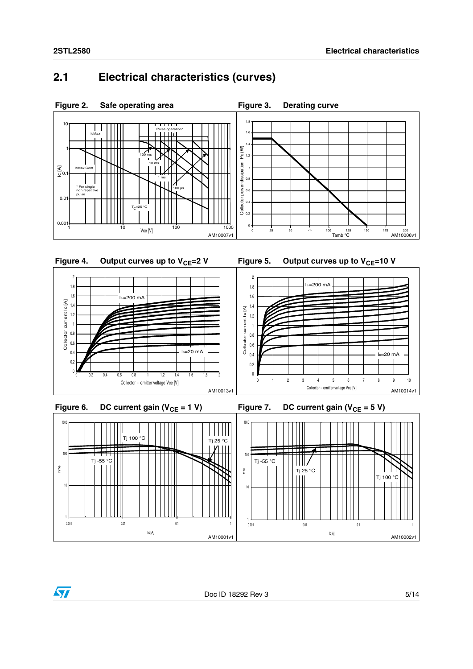### **2.1 Electrical characteristics (curves)**







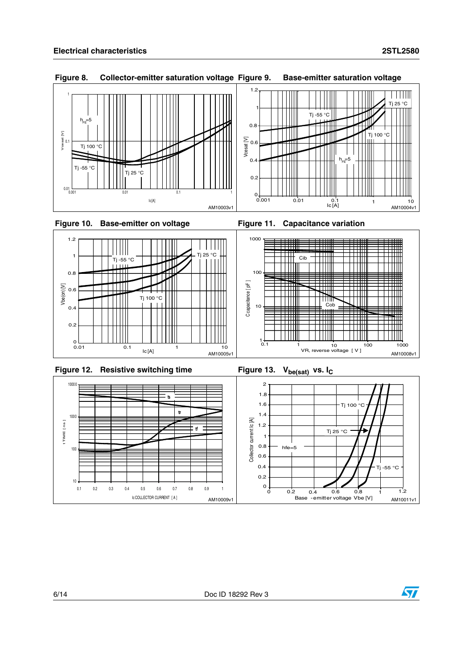





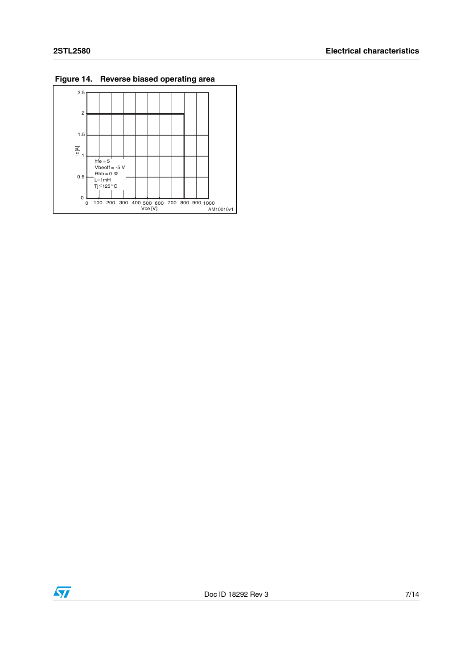

**Figure 14. Reverse biased operating area**

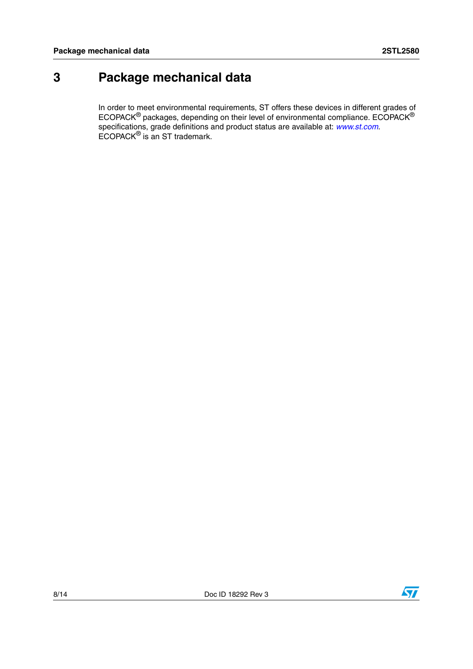## **3 Package mechanical data**

In order to meet environmental requirements, ST offers these devices in different grades of ECOPACK $^{\circledR}$  packages, depending on their level of environmental compliance. ECOPACK $^{\circledR}$ specifications, grade definitions and product status are available at: *[www.st.com](http://www.st.com)*. ECOPACK® is an ST trademark.

 $\sqrt{2}$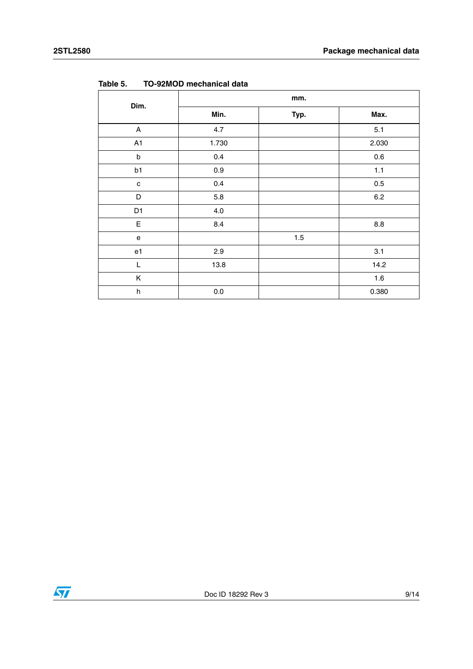| Dim.           | mm.     |      |         |  |
|----------------|---------|------|---------|--|
|                | Min.    | Typ. | Max.    |  |
| A              | 4.7     |      | 5.1     |  |
| A1             | 1.730   |      | 2.030   |  |
| $\sf b$        | 0.4     |      | 0.6     |  |
| b1             | 0.9     |      | $1.1$   |  |
| c              | 0.4     |      | 0.5     |  |
| D              | $5.8\,$ |      | $6.2\,$ |  |
| D1             | $4.0\,$ |      |         |  |
| E              | 8.4     |      | $8.8\,$ |  |
| e              |         | 1.5  |         |  |
| e <sub>1</sub> | 2.9     |      | 3.1     |  |
| L              | 13.8    |      | 14.2    |  |
| Κ              |         |      | 1.6     |  |
| $\sf h$        | $0.0\,$ |      | 0.380   |  |

**Table 5. TO-92MOD mechanical data**

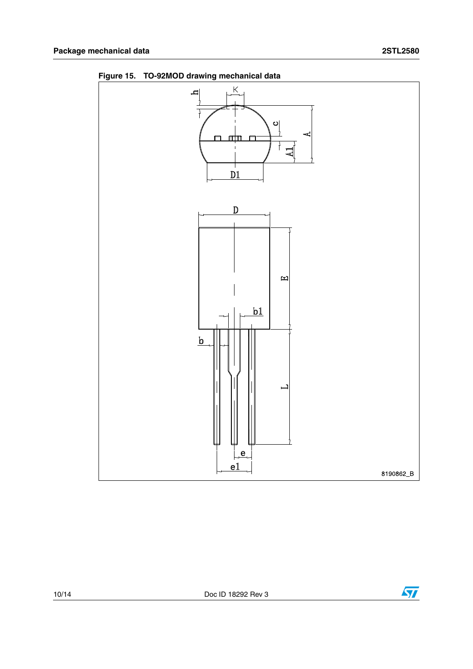

**Figure 15. TO-92MOD drawing mechanical data**

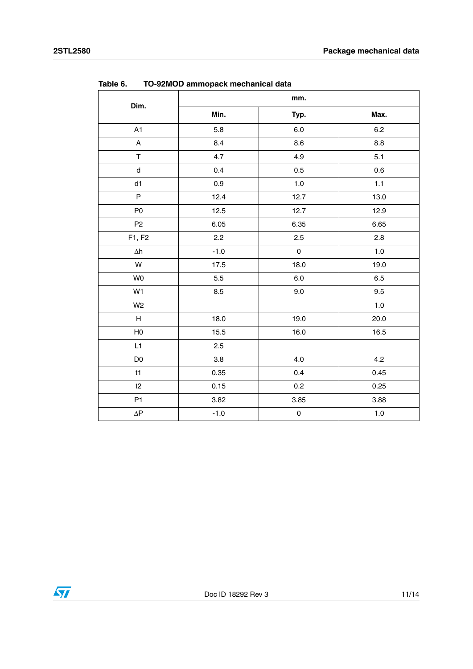| Dim.                      | к.<br>mm. |                     |         |  |
|---------------------------|-----------|---------------------|---------|--|
|                           | Min.      | Typ.                | Max.    |  |
| A1                        | 5.8       | $6.0\,$             | $6.2\,$ |  |
| A                         | 8.4       | 8.6                 | 8.8     |  |
| $\top$                    | 4.7       | 4.9                 | 5.1     |  |
| ${\sf d}$                 | 0.4       | 0.5                 | 0.6     |  |
| d1                        | 0.9       | $1.0\,$             | 1.1     |  |
| $\sf P$                   | 12.4      | 12.7                | 13.0    |  |
| P <sub>0</sub>            | 12.5      | 12.7                | 12.9    |  |
| P <sub>2</sub>            | 6.05      | 6.35                | 6.65    |  |
| F1, F2                    | 2.2       | 2.5                 | 2.8     |  |
| $\Delta h$                | $-1.0$    | $\pmb{0}$           | $1.0$   |  |
| ${\sf W}$                 | 17.5      | 18.0                | 19.0    |  |
| W <sub>0</sub>            | $5.5\,$   | $6.0\,$             | $6.5\,$ |  |
| W1                        | 8.5       | $9.0\,$             | 9.5     |  |
| W <sub>2</sub>            |           |                     | $1.0$   |  |
| $\boldsymbol{\mathsf{H}}$ | 18.0      | 19.0                | 20.0    |  |
| H <sub>0</sub>            | 15.5      | 16.0                | 16.5    |  |
| L1                        | 2.5       |                     |         |  |
| D <sub>0</sub>            | $3.8\,$   | 4.0                 | 4.2     |  |
| t1                        | 0.35      | 0.4                 | 0.45    |  |
| t2                        | 0.15      | $0.2\,$             | 0.25    |  |
| P <sub>1</sub>            | 3.82      | 3.85                | 3.88    |  |
| $\Delta \mathsf{P}$       | $-1.0$    | $\mathsf{O}\xspace$ | $1.0\,$ |  |

**Table 6. TO-92MOD ammopack mechanical data**

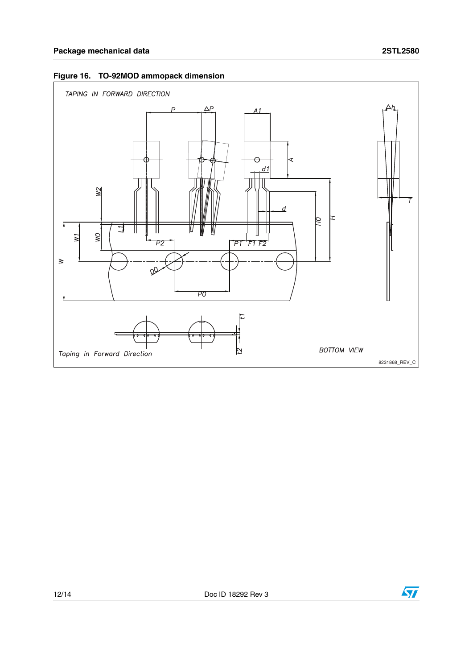

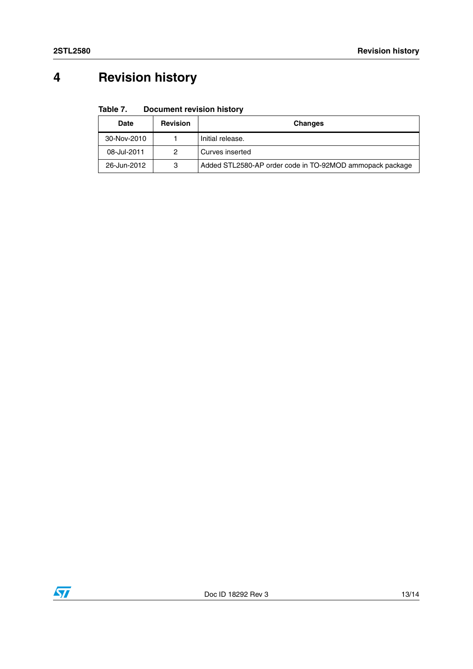# **4 Revision history**

#### Table 7. **Document revision history**

| Date        | <b>Revision</b> | <b>Changes</b>                                           |
|-------------|-----------------|----------------------------------------------------------|
| 30-Nov-2010 |                 | Initial release.                                         |
| 08-Jul-2011 | 2               | Curves inserted                                          |
| 26-Jun-2012 | 3               | Added STL2580-AP order code in TO-92MOD ammopack package |